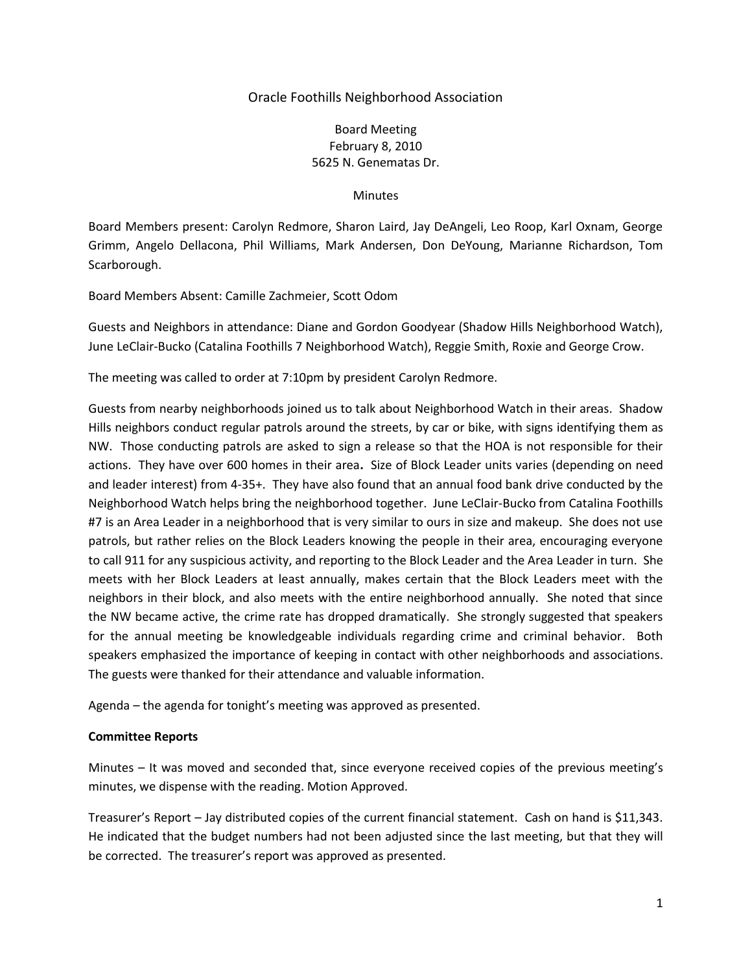# Oracle Foothills Neighborhood Association

# Board Meeting February 8, 2010 5625 N. Genematas Dr.

#### **Minutes**

Board Members present: Carolyn Redmore, Sharon Laird, Jay DeAngeli, Leo Roop, Karl Oxnam, George Grimm, Angelo Dellacona, Phil Williams, Mark Andersen, Don DeYoung, Marianne Richardson, Tom Scarborough.

Board Members Absent: Camille Zachmeier, Scott Odom

Guests and Neighbors in attendance: Diane and Gordon Goodyear (Shadow Hills Neighborhood Watch), June LeClair-Bucko (Catalina Foothills 7 Neighborhood Watch), Reggie Smith, Roxie and George Crow.

The meeting was called to order at 7:10pm by president Carolyn Redmore.

Guests from nearby neighborhoods joined us to talk about Neighborhood Watch in their areas. Shadow Hills neighbors conduct regular patrols around the streets, by car or bike, with signs identifying them as NW. Those conducting patrols are asked to sign a release so that the HOA is not responsible for their actions. They have over 600 homes in their area**.** Size of Block Leader units varies (depending on need and leader interest) from 4-35+.They have also found that an annual food bank drive conducted by the Neighborhood Watch helps bring the neighborhood together. June LeClair-Bucko from Catalina Foothills #7 is an Area Leader in a neighborhood that is very similar to ours in size and makeup. She does not use patrols, but rather relies on the Block Leaders knowing the people in their area, encouraging everyone to call 911 for any suspicious activity, and reporting to the Block Leader and the Area Leader in turn. She meets with her Block Leaders at least annually, makes certain that the Block Leaders meet with the neighbors in their block, and also meets with the entire neighborhood annually. She noted that since the NW became active, the crime rate has dropped dramatically. She strongly suggested that speakers for the annual meeting be knowledgeable individuals regarding crime and criminal behavior. Both speakers emphasized the importance of keeping in contact with other neighborhoods and associations. The guests were thanked for their attendance and valuable information.

Agenda – the agenda for tonight's meeting was approved as presented.

#### **Committee Reports**

Minutes – It was moved and seconded that, since everyone received copies of the previous meeting's minutes, we dispense with the reading. Motion Approved.

Treasurer's Report – Jay distributed copies of the current financial statement. Cash on hand is \$11,343. He indicated that the budget numbers had not been adjusted since the last meeting, but that they will be corrected. The treasurer's report was approved as presented.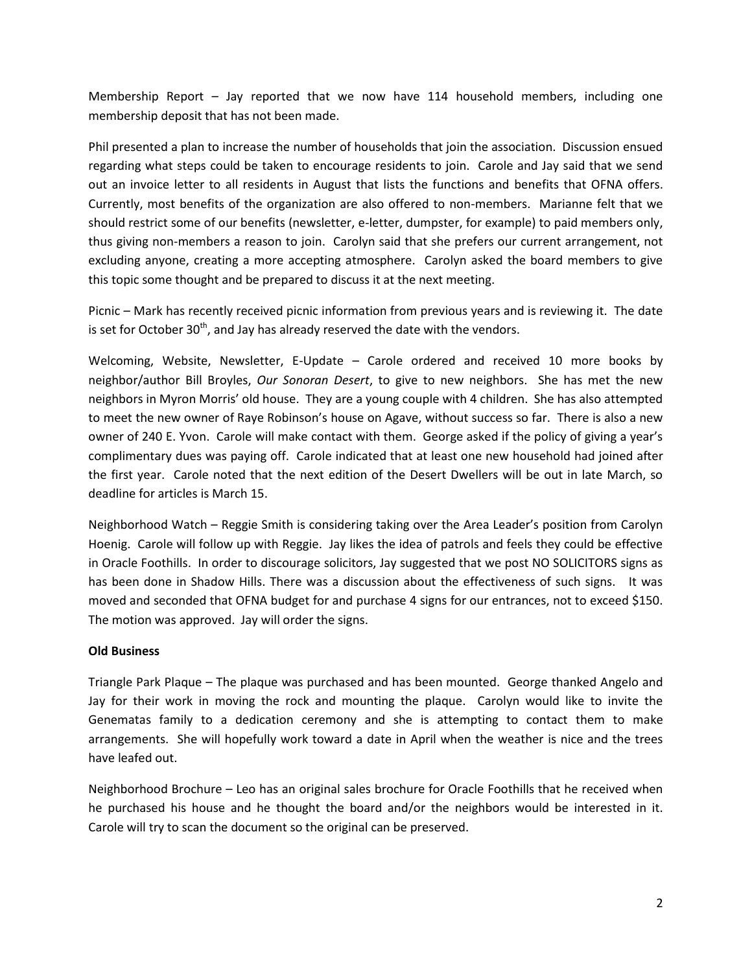Membership Report – Jay reported that we now have 114 household members, including one membership deposit that has not been made.

Phil presented a plan to increase the number of households that join the association. Discussion ensued regarding what steps could be taken to encourage residents to join. Carole and Jay said that we send out an invoice letter to all residents in August that lists the functions and benefits that OFNA offers. Currently, most benefits of the organization are also offered to non-members. Marianne felt that we should restrict some of our benefits (newsletter, e-letter, dumpster, for example) to paid members only, thus giving non-members a reason to join. Carolyn said that she prefers our current arrangement, not excluding anyone, creating a more accepting atmosphere. Carolyn asked the board members to give this topic some thought and be prepared to discuss it at the next meeting.

Picnic – Mark has recently received picnic information from previous years and is reviewing it. The date is set for October  $30<sup>th</sup>$ , and Jay has already reserved the date with the vendors.

Welcoming, Website, Newsletter, E-Update – Carole ordered and received 10 more books by neighbor/author Bill Broyles, *Our Sonoran Desert*, to give to new neighbors. She has met the new neighbors in Myron Morris' old house. They are a young couple with 4 children. She has also attempted to meet the new owner of Raye Robinson's house on Agave, without success so far. There is also a new owner of 240 E. Yvon. Carole will make contact with them. George asked if the policy of giving a year's complimentary dues was paying off. Carole indicated that at least one new household had joined after the first year. Carole noted that the next edition of the Desert Dwellers will be out in late March, so deadline for articles is March 15.

Neighborhood Watch – Reggie Smith is considering taking over the Area Leader's position from Carolyn Hoenig. Carole will follow up with Reggie. Jay likes the idea of patrols and feels they could be effective in Oracle Foothills. In order to discourage solicitors, Jay suggested that we post NO SOLICITORS signs as has been done in Shadow Hills. There was a discussion about the effectiveness of such signs. It was moved and seconded that OFNA budget for and purchase 4 signs for our entrances, not to exceed \$150. The motion was approved. Jay will order the signs.

## **Old Business**

Triangle Park Plaque – The plaque was purchased and has been mounted. George thanked Angelo and Jay for their work in moving the rock and mounting the plaque. Carolyn would like to invite the Genematas family to a dedication ceremony and she is attempting to contact them to make arrangements. She will hopefully work toward a date in April when the weather is nice and the trees have leafed out.

Neighborhood Brochure – Leo has an original sales brochure for Oracle Foothills that he received when he purchased his house and he thought the board and/or the neighbors would be interested in it. Carole will try to scan the document so the original can be preserved.